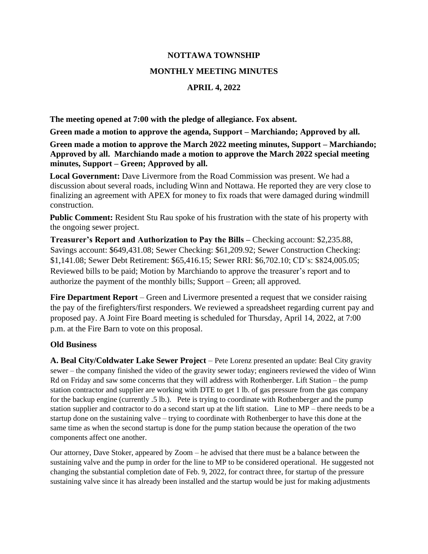## **NOTTAWA TOWNSHIP MONTHLY MEETING MINUTES APRIL 4, 2022**

**The meeting opened at 7:00 with the pledge of allegiance. Fox absent.**

**Green made a motion to approve the agenda, Support – Marchiando; Approved by all.**

**Green made a motion to approve the March 2022 meeting minutes, Support – Marchiando; Approved by all. Marchiando made a motion to approve the March 2022 special meeting minutes, Support – Green; Approved by all.**

**Local Government:** Dave Livermore from the Road Commission was present. We had a discussion about several roads, including Winn and Nottawa. He reported they are very close to finalizing an agreement with APEX for money to fix roads that were damaged during windmill construction.

**Public Comment:** Resident Stu Rau spoke of his frustration with the state of his property with the ongoing sewer project.

**Treasurer's Report and Authorization to Pay the Bills –** Checking account: \$2,235.88, Savings account: \$649,431.08; Sewer Checking: \$61,209.92; Sewer Construction Checking: \$1,141.08; Sewer Debt Retirement: \$65,416.15; Sewer RRI: \$6,702.10; CD's: \$824,005.05; Reviewed bills to be paid; Motion by Marchiando to approve the treasurer's report and to authorize the payment of the monthly bills; Support – Green; all approved.

**Fire Department Report** – Green and Livermore presented a request that we consider raising the pay of the firefighters/first responders. We reviewed a spreadsheet regarding current pay and proposed pay. A Joint Fire Board meeting is scheduled for Thursday, April 14, 2022, at 7:00 p.m. at the Fire Barn to vote on this proposal.

## **Old Business**

**A. Beal City/Coldwater Lake Sewer Project** – Pete Lorenz presented an update: Beal City gravity sewer – the company finished the video of the gravity sewer today; engineers reviewed the video of Winn Rd on Friday and saw some concerns that they will address with Rothenberger. Lift Station – the pump station contractor and supplier are working with DTE to get 1 lb. of gas pressure from the gas company for the backup engine (currently .5 lb.). Pete is trying to coordinate with Rothenberger and the pump station supplier and contractor to do a second start up at the lift station. Line to MP – there needs to be a startup done on the sustaining valve – trying to coordinate with Rothenberger to have this done at the same time as when the second startup is done for the pump station because the operation of the two components affect one another.

Our attorney, Dave Stoker, appeared by Zoom – he advised that there must be a balance between the sustaining valve and the pump in order for the line to MP to be considered operational. He suggested not changing the substantial completion date of Feb. 9, 2022, for contract three, for startup of the pressure sustaining valve since it has already been installed and the startup would be just for making adjustments